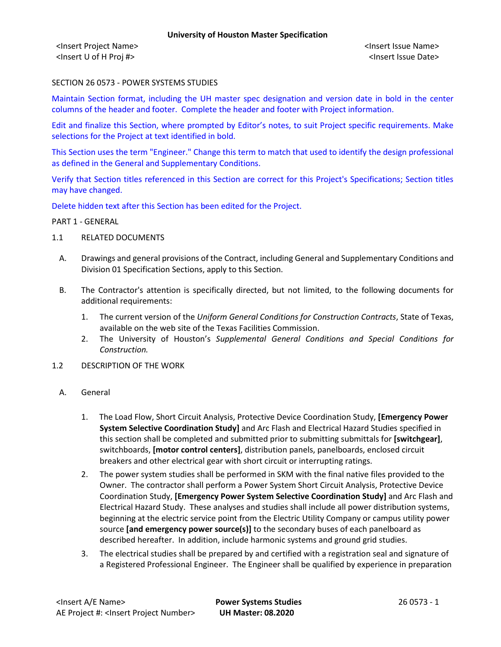<Insert Project Name> <Insert Issue Name> <Insert U of H Proj #> <Insert Issue Date>

### SECTION 26 0573 - POWER SYSTEMS STUDIES

Maintain Section format, including the UH master spec designation and version date in bold in the center columns of the header and footer. Complete the header and footer with Project information.

Edit and finalize this Section, where prompted by Editor's notes, to suit Project specific requirements. Make selections for the Project at text identified in bold.

This Section uses the term "Engineer." Change this term to match that used to identify the design professional as defined in the General and Supplementary Conditions.

Verify that Section titles referenced in this Section are correct for this Project's Specifications; Section titles may have changed.

Delete hidden text after this Section has been edited for the Project.

#### PART 1 - GENERAL

- 1.1 RELATED DOCUMENTS
	- A. Drawings and general provisions of the Contract, including General and Supplementary Conditions and Division 01 Specification Sections, apply to this Section.
	- B. The Contractor's attention is specifically directed, but not limited, to the following documents for additional requirements:
		- 1. The current version of the *Uniform General Conditions for Construction Contracts*, State of Texas, available on the web site of the Texas Facilities Commission.
		- 2. The University of Houston's *Supplemental General Conditions and Special Conditions for Construction.*
- 1.2 DESCRIPTION OF THE WORK
- A. General
	- 1. The Load Flow, Short Circuit Analysis, Protective Device Coordination Study, **[Emergency Power System Selective Coordination Study]** and Arc Flash and Electrical Hazard Studies specified in this section shall be completed and submitted prior to submitting submittals for **[switchgear]**, switchboards, **[motor control centers]**, distribution panels, panelboards, enclosed circuit breakers and other electrical gear with short circuit or interrupting ratings.
	- 2. The power system studies shall be performed in SKM with the final native files provided to the Owner. The contractor shall perform a Power System Short Circuit Analysis, Protective Device Coordination Study, **[Emergency Power System Selective Coordination Study]** and Arc Flash and Electrical Hazard Study. These analyses and studies shall include all power distribution systems, beginning at the electric service point from the Electric Utility Company or campus utility power source **[and emergency power source(s)]** to the secondary buses of each panelboard as described hereafter. In addition, include harmonic systems and ground grid studies.
	- 3. The electrical studies shall be prepared by and certified with a registration seal and signature of a Registered Professional Engineer. The Engineer shall be qualified by experience in preparation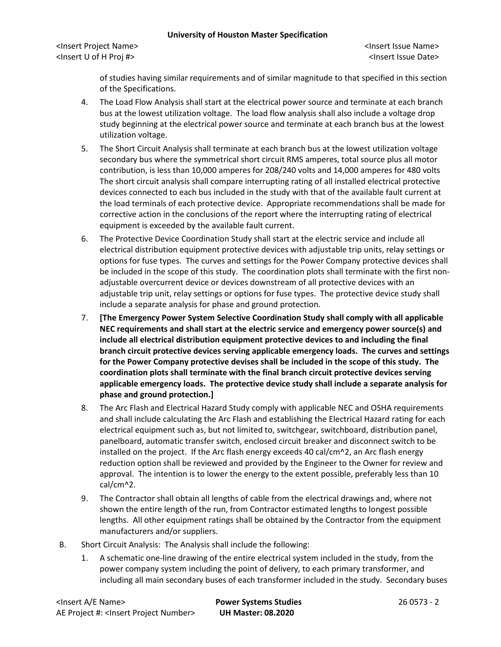<Insert Project Name> <Insert Issue Name> <Insert U of H Proj #> <Insert Issue Date>

of studies having similar requirements and of similar magnitude to that specified in this section of the Specifications.

- 4. The Load Flow Analysis shall start at the electrical power source and terminate at each branch bus at the lowest utilization voltage. The load flow analysis shall also include a voltage drop study beginning at the electrical power source and terminate at each branch bus at the lowest utilization voltage.
- 5. The Short Circuit Analysis shall terminate at each branch bus at the lowest utilization voltage secondary bus where the symmetrical short circuit RMS amperes, total source plus all motor contribution, is less than 10,000 amperes for 208/240 volts and 14,000 amperes for 480 volts The short circuit analysis shall compare interrupting rating of all installed electrical protective devices connected to each bus included in the study with that of the available fault current at the load terminals of each protective device. Appropriate recommendations shall be made for corrective action in the conclusions of the report where the interrupting rating of electrical equipment is exceeded by the available fault current.
- 6. The Protective Device Coordination Study shall start at the electric service and include all electrical distribution equipment protective devices with adjustable trip units, relay settings or options for fuse types. The curves and settings for the Power Company protective devices shall be included in the scope of this study. The coordination plots shall terminate with the first nonadjustable overcurrent device or devices downstream of all protective devices with an adjustable trip unit, relay settings or options for fuse types. The protective device study shall include a separate analysis for phase and ground protection.
- 7. **[The Emergency Power System Selective Coordination Study shall comply with all applicable NEC requirements and shall start at the electric service and emergency power source(s) and include all electrical distribution equipment protective devices to and including the final branch circuit protective devices serving applicable emergency loads. The curves and settings for the Power Company protective devises shall be included in the scope of this study. The coordination plots shall terminate with the final branch circuit protective devices serving applicable emergency loads. The protective device study shall include a separate analysis for phase and ground protection.]**
- 8. The Arc Flash and Electrical Hazard Study comply with applicable NEC and OSHA requirements and shall include calculating the Arc Flash and establishing the Electrical Hazard rating for each electrical equipment such as, but not limited to, switchgear, switchboard, distribution panel, panelboard, automatic transfer switch, enclosed circuit breaker and disconnect switch to be installed on the project. If the Arc flash energy exceeds 40 cal/cm^2, an Arc flash energy reduction option shall be reviewed and provided by the Engineer to the Owner for review and approval. The intention is to lower the energy to the extent possible, preferably less than 10 cal/cm^2.
- 9. The Contractor shall obtain all lengths of cable from the electrical drawings and, where not shown the entire length of the run, from Contractor estimated lengths to longest possible lengths. All other equipment ratings shall be obtained by the Contractor from the equipment manufacturers and/or suppliers.
- B. Short Circuit Analysis: The Analysis shall include the following:
	- 1. A schematic one-line drawing of the entire electrical system included in the study, from the power company system including the point of delivery, to each primary transformer, and including all main secondary buses of each transformer included in the study. Secondary buses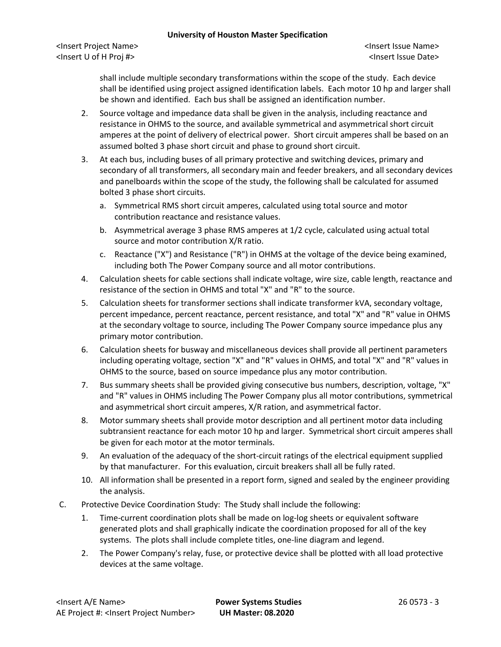<Insert Project Name> <Insert Issue Name> <Insert U of H Proj #> <Insert Issue Date>

shall include multiple secondary transformations within the scope of the study. Each device shall be identified using project assigned identification labels. Each motor 10 hp and larger shall be shown and identified. Each bus shall be assigned an identification number.

- 2. Source voltage and impedance data shall be given in the analysis, including reactance and resistance in OHMS to the source, and available symmetrical and asymmetrical short circuit amperes at the point of delivery of electrical power. Short circuit amperes shall be based on an assumed bolted 3 phase short circuit and phase to ground short circuit.
- 3. At each bus, including buses of all primary protective and switching devices, primary and secondary of all transformers, all secondary main and feeder breakers, and all secondary devices and panelboards within the scope of the study, the following shall be calculated for assumed bolted 3 phase short circuits.
	- a. Symmetrical RMS short circuit amperes, calculated using total source and motor contribution reactance and resistance values.
	- b. Asymmetrical average 3 phase RMS amperes at 1/2 cycle, calculated using actual total source and motor contribution X/R ratio.
	- c. Reactance ("X") and Resistance ("R") in OHMS at the voltage of the device being examined, including both The Power Company source and all motor contributions.
- 4. Calculation sheets for cable sections shall indicate voltage, wire size, cable length, reactance and resistance of the section in OHMS and total "X" and "R" to the source.
- 5. Calculation sheets for transformer sections shall indicate transformer kVA, secondary voltage, percent impedance, percent reactance, percent resistance, and total "X" and "R" value in OHMS at the secondary voltage to source, including The Power Company source impedance plus any primary motor contribution.
- 6. Calculation sheets for busway and miscellaneous devices shall provide all pertinent parameters including operating voltage, section "X" and "R" values in OHMS, and total "X" and "R" values in OHMS to the source, based on source impedance plus any motor contribution.
- 7. Bus summary sheets shall be provided giving consecutive bus numbers, description, voltage, "X" and "R" values in OHMS including The Power Company plus all motor contributions, symmetrical and asymmetrical short circuit amperes, X/R ration, and asymmetrical factor.
- 8. Motor summary sheets shall provide motor description and all pertinent motor data including subtransient reactance for each motor 10 hp and larger. Symmetrical short circuit amperes shall be given for each motor at the motor terminals.
- 9. An evaluation of the adequacy of the short-circuit ratings of the electrical equipment supplied by that manufacturer. For this evaluation, circuit breakers shall all be fully rated.
- 10. All information shall be presented in a report form, signed and sealed by the engineer providing the analysis.
- C. Protective Device Coordination Study: The Study shall include the following:
	- 1. Time-current coordination plots shall be made on log-log sheets or equivalent software generated plots and shall graphically indicate the coordination proposed for all of the key systems. The plots shall include complete titles, one-line diagram and legend.
	- 2. The Power Company's relay, fuse, or protective device shall be plotted with all load protective devices at the same voltage.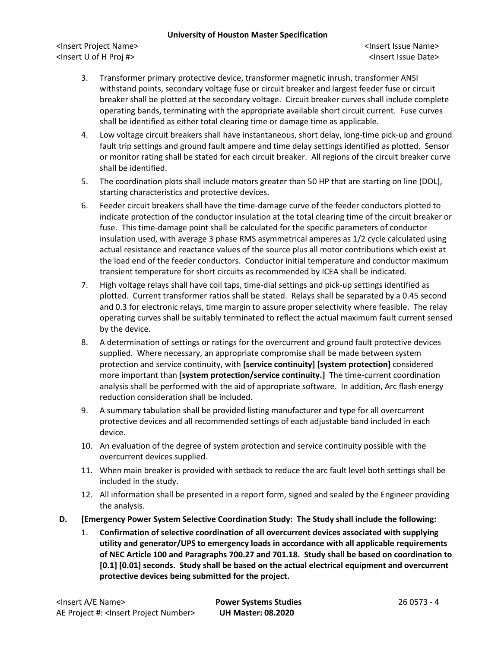<Insert Project Name> <Insert Issue Name> <Insert U of H Proj #> <Insert Issue Date>

- 3. Transformer primary protective device, transformer magnetic inrush, transformer ANSI withstand points, secondary voltage fuse or circuit breaker and largest feeder fuse or circuit breaker shall be plotted at the secondary voltage. Circuit breaker curves shall include complete operating bands, terminating with the appropriate available short circuit current. Fuse curves shall be identified as either total clearing time or damage time as applicable.
- 4. Low voltage circuit breakers shall have instantaneous, short delay, long-time pick-up and ground fault trip settings and ground fault ampere and time delay settings identified as plotted. Sensor or monitor rating shall be stated for each circuit breaker. All regions of the circuit breaker curve shall be identified.
- 5. The coordination plots shall include motors greater than 50 HP that are starting on line (DOL), starting characteristics and protective devices.
- 6. Feeder circuit breakers shall have the time-damage curve of the feeder conductors plotted to indicate protection of the conductor insulation at the total clearing time of the circuit breaker or fuse. This time-damage point shall be calculated for the specific parameters of conductor insulation used, with average 3 phase RMS asymmetrical amperes as 1/2 cycle calculated using actual resistance and reactance values of the source plus all motor contributions which exist at the load end of the feeder conductors. Conductor initial temperature and conductor maximum transient temperature for short circuits as recommended by ICEA shall be indicated.
- 7. High voltage relays shall have coil taps, time-dial settings and pick-up settings identified as plotted. Current transformer ratios shall be stated. Relays shall be separated by a 0.45 second and 0.3 for electronic relays, time margin to assure proper selectivity where feasible. The relay operating curves shall be suitably terminated to reflect the actual maximum fault current sensed by the device.
- 8. A determination of settings or ratings for the overcurrent and ground fault protective devices supplied. Where necessary, an appropriate compromise shall be made between system protection and service continuity, with **[service continuity] [system protection]** considered more important than **[system protection/service continuity.]** The time-current coordination analysis shall be performed with the aid of appropriate software. In addition, Arc flash energy reduction consideration shall be included.
- 9. A summary tabulation shall be provided listing manufacturer and type for all overcurrent protective devices and all recommended settings of each adjustable band included in each device.
- 10. An evaluation of the degree of system protection and service continuity possible with the overcurrent devices supplied.
- 11. When main breaker is provided with setback to reduce the arc fault level both settings shall be included in the study.
- 12. All information shall be presented in a report form, signed and sealed by the Engineer providing the analysis.
- **D. [Emergency Power System Selective Coordination Study: The Study shall include the following:**
	- 1. **Confirmation of selective coordination of all overcurrent devices associated with supplying utility and generator/UPS to emergency loads in accordance with all applicable requirements of NEC Article 100 and Paragraphs 700.27 and 701.18. Study shall be based on coordination to [0.1] [0.01] seconds. Study shall be based on the actual electrical equipment and overcurrent protective devices being submitted for the project.**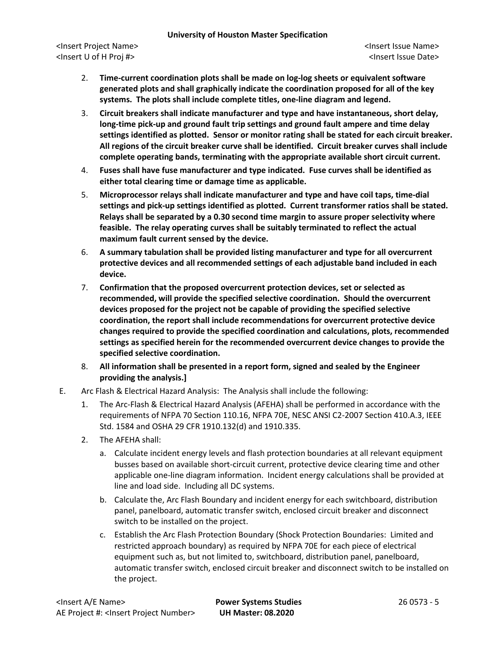<Insert Project Name> <Insert Issue Name> <Insert U of H Proj #> <Insert Issue Date>

- 2. **Time-current coordination plots shall be made on log-log sheets or equivalent software generated plots and shall graphically indicate the coordination proposed for all of the key systems. The plots shall include complete titles, one-line diagram and legend.**
- 3. **Circuit breakers shall indicate manufacturer and type and have instantaneous, short delay, long-time pick-up and ground fault trip settings and ground fault ampere and time delay settings identified as plotted. Sensor or monitor rating shall be stated for each circuit breaker. All regions of the circuit breaker curve shall be identified. Circuit breaker curves shall include complete operating bands, terminating with the appropriate available short circuit current.**
- 4. **Fuses shall have fuse manufacturer and type indicated. Fuse curves shall be identified as either total clearing time or damage time as applicable.**
- 5. **Microprocessor relays shall indicate manufacturer and type and have coil taps, time-dial settings and pick-up settings identified as plotted. Current transformer ratios shall be stated. Relays shall be separated by a 0.30 second time margin to assure proper selectivity where feasible. The relay operating curves shall be suitably terminated to reflect the actual maximum fault current sensed by the device.**
- 6. **A summary tabulation shall be provided listing manufacturer and type for all overcurrent protective devices and all recommended settings of each adjustable band included in each device.**
- 7. **Confirmation that the proposed overcurrent protection devices, set or selected as recommended, will provide the specified selective coordination. Should the overcurrent devices proposed for the project not be capable of providing the specified selective coordination, the report shall include recommendations for overcurrent protective device changes required to provide the specified coordination and calculations, plots, recommended settings as specified herein for the recommended overcurrent device changes to provide the specified selective coordination.**
- 8. **All information shall be presented in a report form, signed and sealed by the Engineer providing the analysis.]**
- E. Arc Flash & Electrical Hazard Analysis: The Analysis shall include the following:
	- 1. The Arc-Flash & Electrical Hazard Analysis (AFEHA) shall be performed in accordance with the requirements of NFPA 70 Section 110.16, NFPA 70E, NESC ANSI C2-2007 Section 410.A.3, IEEE Std. 1584 and OSHA 29 CFR 1910.132(d) and 1910.335.
	- 2. The AFEHA shall:
		- a. Calculate incident energy levels and flash protection boundaries at all relevant equipment busses based on available short-circuit current, protective device clearing time and other applicable one-line diagram information. Incident energy calculations shall be provided at line and load side. Including all DC systems.
		- b. Calculate the, Arc Flash Boundary and incident energy for each switchboard, distribution panel, panelboard, automatic transfer switch, enclosed circuit breaker and disconnect switch to be installed on the project.
		- c. Establish the Arc Flash Protection Boundary (Shock Protection Boundaries: Limited and restricted approach boundary) as required by NFPA 70E for each piece of electrical equipment such as, but not limited to, switchboard, distribution panel, panelboard, automatic transfer switch, enclosed circuit breaker and disconnect switch to be installed on the project.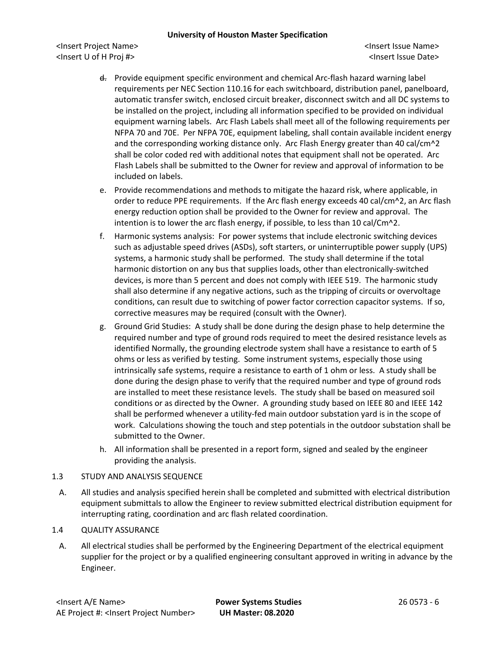<Insert Project Name> <Insert Issue Name> <Insert U of H Proj #> <Insert Issue Date>

- d. Provide equipment specific environment and chemical Arc-flash hazard warning label requirements per NEC Section 110.16 for each switchboard, distribution panel, panelboard, automatic transfer switch, enclosed circuit breaker, disconnect switch and all DC systems to be installed on the project, including all information specified to be provided on individual equipment warning labels. Arc Flash Labels shall meet all of the following requirements per NFPA 70 and 70E. Per NFPA 70E, equipment labeling, shall contain available incident energy and the corresponding working distance only. Arc Flash Energy greater than 40 cal/cm^2 shall be color coded red with additional notes that equipment shall not be operated. Arc Flash Labels shall be submitted to the Owner for review and approval of information to be included on labels.
- e. Provide recommendations and methods to mitigate the hazard risk, where applicable, in order to reduce PPE requirements. If the Arc flash energy exceeds 40 cal/cm^2, an Arc flash energy reduction option shall be provided to the Owner for review and approval. The intention is to lower the arc flash energy, if possible, to less than 10 cal/Cm^2.
- f. Harmonic systems analysis: For power systems that include electronic switching devices such as adjustable speed drives (ASDs), soft starters, or uninterruptible power supply (UPS) systems, a harmonic study shall be performed. The study shall determine if the total harmonic distortion on any bus that supplies loads, other than electronically-switched devices, is more than 5 percent and does not comply with IEEE 519. The harmonic study shall also determine if any negative actions, such as the tripping of circuits or overvoltage conditions, can result due to switching of power factor correction capacitor systems. If so, corrective measures may be required (consult with the Owner).
- g. Ground Grid Studies: A study shall be done during the design phase to help determine the required number and type of ground rods required to meet the desired resistance levels as identified Normally, the grounding electrode system shall have a resistance to earth of 5 ohms or less as verified by testing. Some instrument systems, especially those using intrinsically safe systems, require a resistance to earth of 1 ohm or less. A study shall be done during the design phase to verify that the required number and type of ground rods are installed to meet these resistance levels. The study shall be based on measured soil conditions or as directed by the Owner. A grounding study based on IEEE 80 and IEEE 142 shall be performed whenever a utility-fed main outdoor substation yard is in the scope of work. Calculations showing the touch and step potentials in the outdoor substation shall be submitted to the Owner.
- h. All information shall be presented in a report form, signed and sealed by the engineer providing the analysis.

# 1.3 STUDY AND ANALYSIS SEQUENCE

A. All studies and analysis specified herein shall be completed and submitted with electrical distribution equipment submittals to allow the Engineer to review submitted electrical distribution equipment for interrupting rating, coordination and arc flash related coordination.

# 1.4 QUALITY ASSURANCE

A. All electrical studies shall be performed by the Engineering Department of the electrical equipment supplier for the project or by a qualified engineering consultant approved in writing in advance by the Engineer.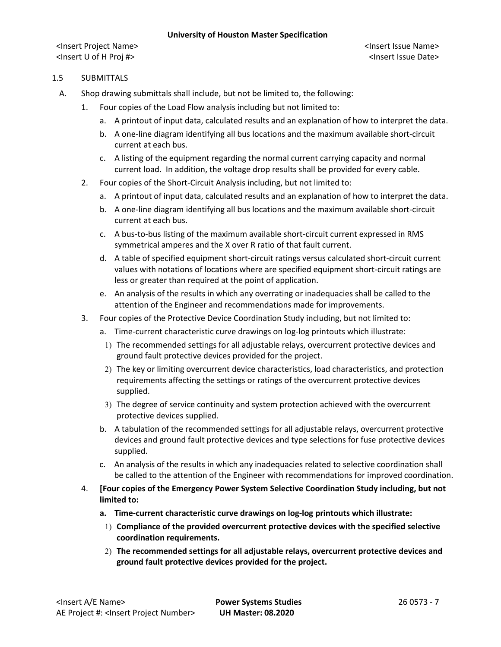### 1.5 SUBMITTALS

- A. Shop drawing submittals shall include, but not be limited to, the following:
	- 1. Four copies of the Load Flow analysis including but not limited to:
		- a. A printout of input data, calculated results and an explanation of how to interpret the data.
		- b. A one-line diagram identifying all bus locations and the maximum available short-circuit current at each bus.
		- c. A listing of the equipment regarding the normal current carrying capacity and normal current load. In addition, the voltage drop results shall be provided for every cable.
	- 2. Four copies of the Short-Circuit Analysis including, but not limited to:
		- a. A printout of input data, calculated results and an explanation of how to interpret the data.
		- b. A one-line diagram identifying all bus locations and the maximum available short-circuit current at each bus.
		- c. A bus-to-bus listing of the maximum available short-circuit current expressed in RMS symmetrical amperes and the X over R ratio of that fault current.
		- d. A table of specified equipment short-circuit ratings versus calculated short-circuit current values with notations of locations where are specified equipment short-circuit ratings are less or greater than required at the point of application.
		- e. An analysis of the results in which any overrating or inadequacies shall be called to the attention of the Engineer and recommendations made for improvements.
	- 3. Four copies of the Protective Device Coordination Study including, but not limited to:
		- a. Time-current characteristic curve drawings on log-log printouts which illustrate:
			- 1) The recommended settings for all adjustable relays, overcurrent protective devices and ground fault protective devices provided for the project.
		- 2) The key or limiting overcurrent device characteristics, load characteristics, and protection requirements affecting the settings or ratings of the overcurrent protective devices supplied.
		- 3) The degree of service continuity and system protection achieved with the overcurrent protective devices supplied.
		- b. A tabulation of the recommended settings for all adjustable relays, overcurrent protective devices and ground fault protective devices and type selections for fuse protective devices supplied.
		- c. An analysis of the results in which any inadequacies related to selective coordination shall be called to the attention of the Engineer with recommendations for improved coordination.
	- 4. **[Four copies of the Emergency Power System Selective Coordination Study including, but not limited to:**
		- **a. Time-current characteristic curve drawings on log-log printouts which illustrate:**
			- 1) **Compliance of the provided overcurrent protective devices with the specified selective coordination requirements.**
		- 2) **The recommended settings for all adjustable relays, overcurrent protective devices and ground fault protective devices provided for the project.**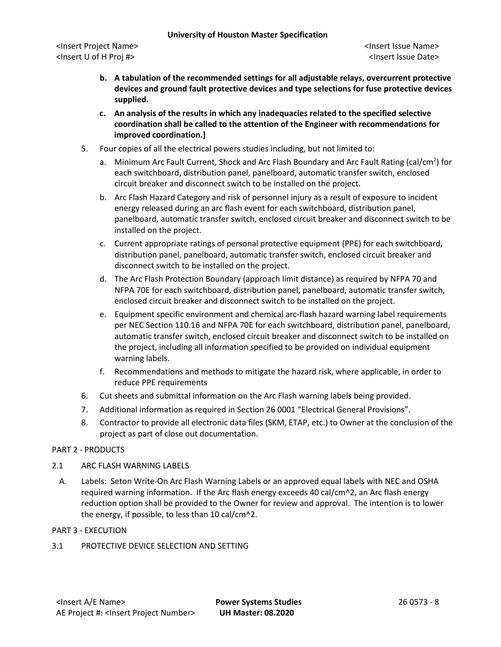- **b. A tabulation of the recommended settings for all adjustable relays, overcurrent protective devices and ground fault protective devices and type selections for fuse protective devices supplied.**
- **c. An analysis of the results in which any inadequacies related to the specified selective coordination shall be called to the attention of the Engineer with recommendations for improved coordination.]**
- 5. Four copies of all the electrical powers studies including, but not limited to:
	- a. Minimum Arc Fault Current, Shock and Arc Flash Boundary and Arc Fault Rating (cal/cm<sup>2</sup>) for each switchboard, distribution panel, panelboard, automatic transfer switch, enclosed circuit breaker and disconnect switch to be installed on the project.
	- b. Arc Flash Hazard Category and risk of personnel injury as a result of exposure to incident energy released during an arc flash event for each switchboard, distribution panel, panelboard, automatic transfer switch, enclosed circuit breaker and disconnect switch to be installed on the project.
	- c. Current appropriate ratings of personal protective equipment (PPE) for each switchboard, distribution panel, panelboard, automatic transfer switch, enclosed circuit breaker and disconnect switch to be installed on the project.
	- d. The Arc Flash Protection Boundary (approach limit distance) as required by NFPA 70 and NFPA 70E for each switchboard, distribution panel, panelboard, automatic transfer switch, enclosed circuit breaker and disconnect switch to be installed on the project.
	- e. Equipment specific environment and chemical arc-flash hazard warning label requirements per NEC Section 110.16 and NFPA 70E for each switchboard, distribution panel, panelboard, automatic transfer switch, enclosed circuit breaker and disconnect switch to be installed on the project, including all information specified to be provided on individual equipment warning labels.
	- f. Recommendations and methods to mitigate the hazard risk, where applicable, in order to reduce PPE requirements
- 6. Cut sheets and submittal information on the Arc Flash warning labels being provided.
- 7. Additional information as required in Section 26 0001 "Electrical General Provisions".
- 8. Contractor to provide all electronic data files (SKM, ETAP, etc.) to Owner at the conclusion of the project as part of close out documentation.

# PART 2 - PRODUCTS

# 2.1 ARC FLASH WARNING LABELS

A. Labels: Seton Write-On Arc Flash Warning Labels or an approved equal labels with NEC and OSHA required warning information. If the Arc flash energy exceeds 40 cal/cm^2, an Arc flash energy reduction option shall be provided to the Owner for review and approval. The intention is to lower the energy, if possible, to less than 10 cal/cm^2.

# PART 3 - EXECUTION

3.1 PROTECTIVE DEVICE SELECTION AND SETTING